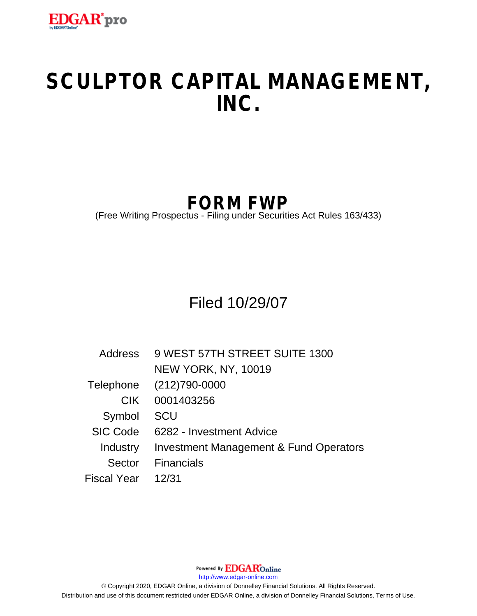

# **SCULPTOR CAPITAL MANAGEMENT, INC.**

# **FORM FWP**

(Free Writing Prospectus - Filing under Securities Act Rules 163/433)

Filed 10/29/07

| Address     | 9 WEST 57TH STREET SUITE 1300                     |  |
|-------------|---------------------------------------------------|--|
|             | <b>NEW YORK, NY, 10019</b>                        |  |
| Telephone   | $(212)790-0000$                                   |  |
| CIK.        | 0001403256                                        |  |
| Symbol      | <b>SCU</b>                                        |  |
| SIC Code    | 6282 - Investment Advice                          |  |
| Industry    | <b>Investment Management &amp; Fund Operators</b> |  |
| Sector      | <b>Financials</b>                                 |  |
| Fiscal Year | 12/31                                             |  |

Powered By **EDGAR**Online

http://www.edgar-online.com

© Copyright 2020, EDGAR Online, a division of Donnelley Financial Solutions. All Rights Reserved. Distribution and use of this document restricted under EDGAR Online, a division of Donnelley Financial Solutions, Terms of Use.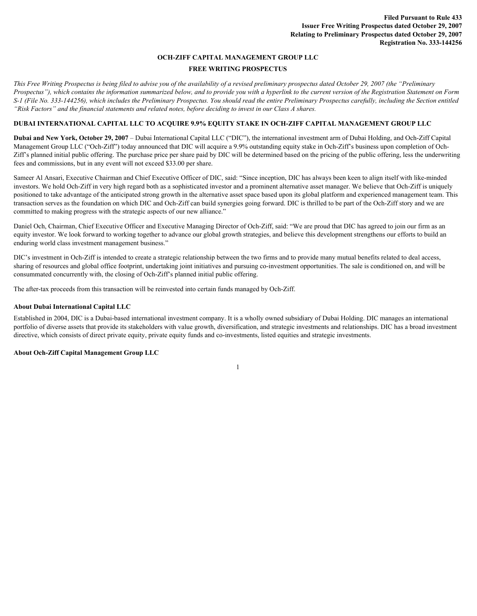## **OCH-ZIFF CAPITAL MANAGEMENT GROUP LLC**

# **FREE WRITING PROSPECTUS**

*This Free Writing Prospectus is being filed to advise you of the availability of a revised preliminary prospectus dated October 29, 2007 (the "Preliminary Prospectus"), which contains the information summarized below, and to provide you with a hyperlink to the current version of the Registration Statement on Form S-1 (File No. 333-144256), which includes the Preliminary Prospectus. You should read the entire Preliminary Prospectus carefully, including the Section entitled "Risk Factors" and the financial statements and related notes, before deciding to invest in our Class A shares.*

# **DUBAI INTERNATIONAL CAPITAL LLC TO ACQUIRE 9.9% EQUITY STAKE IN OCH-ZIFF CAPITAL MANAGEMENT GROUP LLC**

**Dubai and New York, October 29, 2007** – Dubai International Capital LLC ("DIC"), the international investment arm of Dubai Holding, and Och-Ziff Capital Management Group LLC ("Och-Ziff") today announced that DIC will acquire a 9.9% outstanding equity stake in Och-Ziff's business upon completion of Och-Ziff's planned initial public offering. The purchase price per share paid by DIC will be determined based on the pricing of the public offering, less the underwriting fees and commissions, but in any event will not exceed \$33.00 per share.

Sameer Al Ansari, Executive Chairman and Chief Executive Officer of DIC, said: "Since inception, DIC has always been keen to align itself with like-minded investors. We hold Och-Ziff in very high regard both as a sophisticated investor and a prominent alternative asset manager. We believe that Och-Ziff is uniquely positioned to take advantage of the anticipated strong growth in the alternative asset space based upon its global platform and experienced management team. This transaction serves as the foundation on which DIC and Och-Ziff can build synergies going forward. DIC is thrilled to be part of the Och-Ziff story and we are committed to making progress with the strategic aspects of our new alliance."

Daniel Och, Chairman, Chief Executive Officer and Executive Managing Director of Och-Ziff, said: "We are proud that DIC has agreed to join our firm as an equity investor. We look forward to working together to advance our global growth strategies, and believe this development strengthens our efforts to build an enduring world class investment management business."

DIC's investment in Och-Ziff is intended to create a strategic relationship between the two firms and to provide many mutual benefits related to deal access, sharing of resources and global office footprint, undertaking joint initiatives and pursuing co-investment opportunities. The sale is conditioned on, and will be consummated concurrently with, the closing of Och-Ziff's planned initial public offering.

The after-tax proceeds from this transaction will be reinvested into certain funds managed by Och-Ziff.

## **About Dubai International Capital LLC**

Established in 2004, DIC is a Dubai-based international investment company. It is a wholly owned subsidiary of Dubai Holding. DIC manages an international portfolio of diverse assets that provide its stakeholders with value growth, diversification, and strategic investments and relationships. DIC has a broad investment directive, which consists of direct private equity, private equity funds and co-investments, listed equities and strategic investments.

1

#### **About Och-Ziff Capital Management Group LLC**